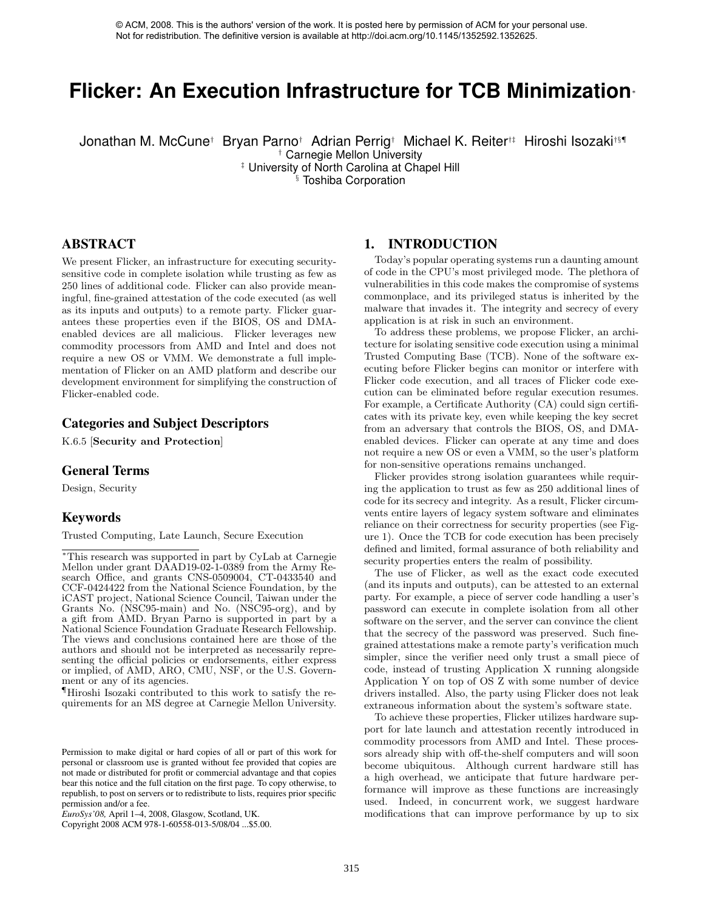# **Flicker: An Execution Infrastructure for TCB Minimization**<sup>∗</sup>

Jonathan M. McCune† Bryan Parno† Adrian Perrig† Michael K. Reiter†‡ Hiroshi Isozaki†§¶

‡ University of North Carolina at Chapel Hill

§ Toshiba Corporation

# **ABSTRACT**

We present Flicker, an infrastructure for executing securitysensitive code in complete isolation while trusting as few as 250 lines of additional code. Flicker can also provide meaningful, fine-grained attestation of the code executed (as well as its inputs and outputs) to a remote party. Flicker guarantees these properties even if the BIOS, OS and DMAenabled devices are all malicious. Flicker leverages new commodity processors from AMD and Intel and does not require a new OS or VMM. We demonstrate a full implementation of Flicker on an AMD platform and describe our development environment for simplifying the construction of Flicker-enabled code.

# **Categories and Subject Descriptors**

K.6.5 [Security and Protection]

# **General Terms**

Design, Security

# **Keywords**

Trusted Computing, Late Launch, Secure Execution

¶Hiroshi Isozaki contributed to this work to satisfy the requirements for an MS degree at Carnegie Mellon University.

Copyright 2008 ACM 978-1-60558-013-5/08/04 ...\$5.00.

# **1. INTRODUCTION**

Today's popular operating systems run a daunting amount of code in the CPU's most privileged mode. The plethora of vulnerabilities in this code makes the compromise of systems commonplace, and its privileged status is inherited by the malware that invades it. The integrity and secrecy of every application is at risk in such an environment.

To address these problems, we propose Flicker, an architecture for isolating sensitive code execution using a minimal Trusted Computing Base (TCB). None of the software executing before Flicker begins can monitor or interfere with Flicker code execution, and all traces of Flicker code execution can be eliminated before regular execution resumes. For example, a Certificate Authority (CA) could sign certificates with its private key, even while keeping the key secret from an adversary that controls the BIOS, OS, and DMAenabled devices. Flicker can operate at any time and does not require a new OS or even a VMM, so the user's platform for non-sensitive operations remains unchanged.

Flicker provides strong isolation guarantees while requiring the application to trust as few as 250 additional lines of code for its secrecy and integrity. As a result, Flicker circumvents entire layers of legacy system software and eliminates reliance on their correctness for security properties (see Figure 1). Once the TCB for code execution has been precisely defined and limited, formal assurance of both reliability and security properties enters the realm of possibility.

The use of Flicker, as well as the exact code executed (and its inputs and outputs), can be attested to an external party. For example, a piece of server code handling a user's password can execute in complete isolation from all other software on the server, and the server can convince the client that the secrecy of the password was preserved. Such finegrained attestations make a remote party's verification much simpler, since the verifier need only trust a small piece of code, instead of trusting Application X running alongside Application Y on top of OS Z with some number of device drivers installed. Also, the party using Flicker does not leak extraneous information about the system's software state.

To achieve these properties, Flicker utilizes hardware support for late launch and attestation recently introduced in commodity processors from AMD and Intel. These processors already ship with off-the-shelf computers and will soon become ubiquitous. Although current hardware still has a high overhead, we anticipate that future hardware performance will improve as these functions are increasingly used. Indeed, in concurrent work, we suggest hardware modifications that can improve performance by up to six

<sup>†</sup> Carnegie Mellon University

<sup>∗</sup>This research was supported in part by CyLab at Carnegie Mellon under grant DAAD19-02-1-0389 from the Army Research Office, and grants CNS-0509004, CT-0433540 and CCF-0424422 from the National Science Foundation, by the iCAST project, National Science Council, Taiwan under the Grants No. (NSC95-main) and No. (NSC95-org), and by a gift from AMD. Bryan Parno is supported in part by a National Science Foundation Graduate Research Fellowship. The views and conclusions contained here are those of the authors and should not be interpreted as necessarily representing the official policies or endorsements, either express or implied, of AMD, ARO, CMU, NSF, or the U.S. Government or any of its agencies.

Permission to make digital or hard copies of all or part of this work for personal or classroom use is granted without fee provided that copies are not made or distributed for profit or commercial advantage and that copies bear this notice and the full citation on the first page. To copy otherwise, to republish, to post on servers or to redistribute to lists, requires prior specific permission and/or a fee.

*EuroSys'08,* April 1–4, 2008, Glasgow, Scotland, UK.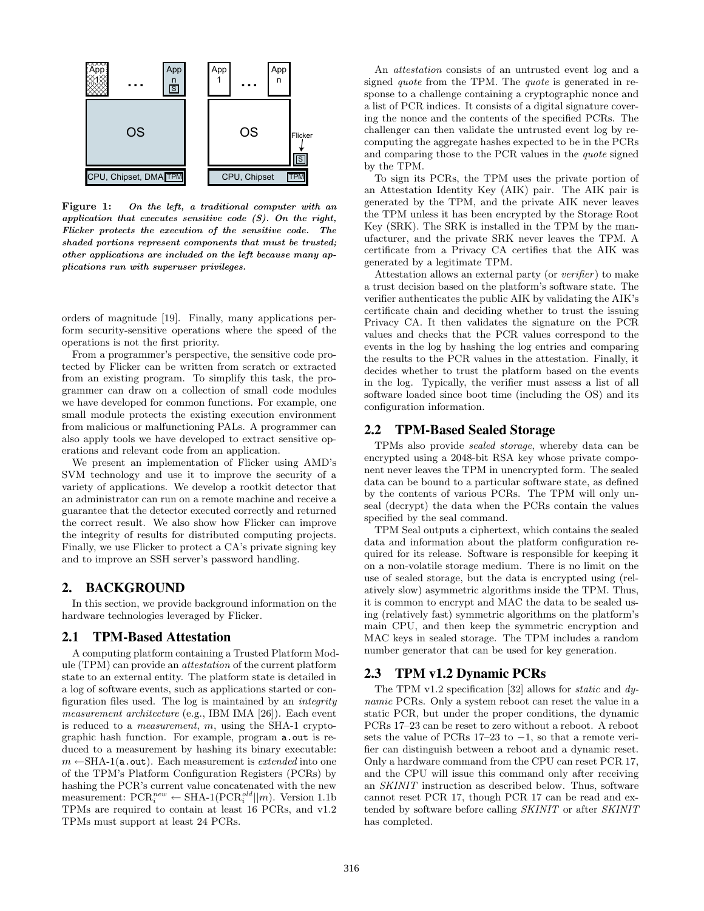

Figure 1: On the left, a traditional computer with an application that executes sensitive code (S). On the right, Flicker protects the execution of the sensitive code. The shaded portions represent components that must be trusted; other applications are included on the left because many applications run with superuser privileges.

orders of magnitude [19]. Finally, many applications perform security-sensitive operations where the speed of the operations is not the first priority.

From a programmer's perspective, the sensitive code protected by Flicker can be written from scratch or extracted from an existing program. To simplify this task, the programmer can draw on a collection of small code modules we have developed for common functions. For example, one small module protects the existing execution environment from malicious or malfunctioning PALs. A programmer can also apply tools we have developed to extract sensitive operations and relevant code from an application.

We present an implementation of Flicker using AMD's SVM technology and use it to improve the security of a variety of applications. We develop a rootkit detector that an administrator can run on a remote machine and receive a guarantee that the detector executed correctly and returned the correct result. We also show how Flicker can improve the integrity of results for distributed computing projects. Finally, we use Flicker to protect a CA's private signing key and to improve an SSH server's password handling.

# **2. BACKGROUND**

In this section, we provide background information on the hardware technologies leveraged by Flicker.

# **2.1 TPM-Based Attestation**

A computing platform containing a Trusted Platform Module (TPM) can provide an attestation of the current platform state to an external entity. The platform state is detailed in a log of software events, such as applications started or configuration files used. The log is maintained by an integrity measurement architecture (e.g., IBM IMA [26]). Each event is reduced to a measurement, m, using the SHA-1 cryptographic hash function. For example, program a.out is reduced to a measurement by hashing its binary executable:  $m \leftarrow$ SHA-1(a.out). Each measurement is *extended* into one of the TPM's Platform Configuration Registers (PCRs) by hashing the PCR's current value concatenated with the new measurement:  $\textrm{PCR}_{i}^{new} \leftarrow \textrm{SHA-1}(\textrm{PCR}_{i}^{old}||m)$ . Version 1.1b TPMs are required to contain at least 16 PCRs, and v1.2 TPMs must support at least 24 PCRs.

An attestation consists of an untrusted event log and a signed *quote* from the TPM. The *quote* is generated in response to a challenge containing a cryptographic nonce and a list of PCR indices. It consists of a digital signature covering the nonce and the contents of the specified PCRs. The challenger can then validate the untrusted event log by recomputing the aggregate hashes expected to be in the PCRs and comparing those to the PCR values in the quote signed by the TPM.

To sign its PCRs, the TPM uses the private portion of an Attestation Identity Key (AIK) pair. The AIK pair is generated by the TPM, and the private AIK never leaves the TPM unless it has been encrypted by the Storage Root Key (SRK). The SRK is installed in the TPM by the manufacturer, and the private SRK never leaves the TPM. A certificate from a Privacy CA certifies that the AIK was generated by a legitimate TPM.

Attestation allows an external party (or verifier) to make a trust decision based on the platform's software state. The verifier authenticates the public AIK by validating the AIK's certificate chain and deciding whether to trust the issuing Privacy CA. It then validates the signature on the PCR values and checks that the PCR values correspond to the events in the log by hashing the log entries and comparing the results to the PCR values in the attestation. Finally, it decides whether to trust the platform based on the events in the log. Typically, the verifier must assess a list of all software loaded since boot time (including the OS) and its configuration information.

### **2.2 TPM-Based Sealed Storage**

TPMs also provide sealed storage, whereby data can be encrypted using a 2048-bit RSA key whose private component never leaves the TPM in unencrypted form. The sealed data can be bound to a particular software state, as defined by the contents of various PCRs. The TPM will only unseal (decrypt) the data when the PCRs contain the values specified by the seal command.

TPM Seal outputs a ciphertext, which contains the sealed data and information about the platform configuration required for its release. Software is responsible for keeping it on a non-volatile storage medium. There is no limit on the use of sealed storage, but the data is encrypted using (relatively slow) asymmetric algorithms inside the TPM. Thus, it is common to encrypt and MAC the data to be sealed using (relatively fast) symmetric algorithms on the platform's main CPU, and then keep the symmetric encryption and MAC keys in sealed storage. The TPM includes a random number generator that can be used for key generation.

# **2.3 TPM v1.2 Dynamic PCRs**

The TPM v1.2 specification [32] allows for *static* and dynamic PCRs. Only a system reboot can reset the value in a static PCR, but under the proper conditions, the dynamic PCRs 17–23 can be reset to zero without a reboot. A reboot sets the value of PCRs  $17-23$  to  $-1$ , so that a remote verifier can distinguish between a reboot and a dynamic reset. Only a hardware command from the CPU can reset PCR 17, and the CPU will issue this command only after receiving an SKINIT instruction as described below. Thus, software cannot reset PCR 17, though PCR 17 can be read and extended by software before calling SKINIT or after SKINIT has completed.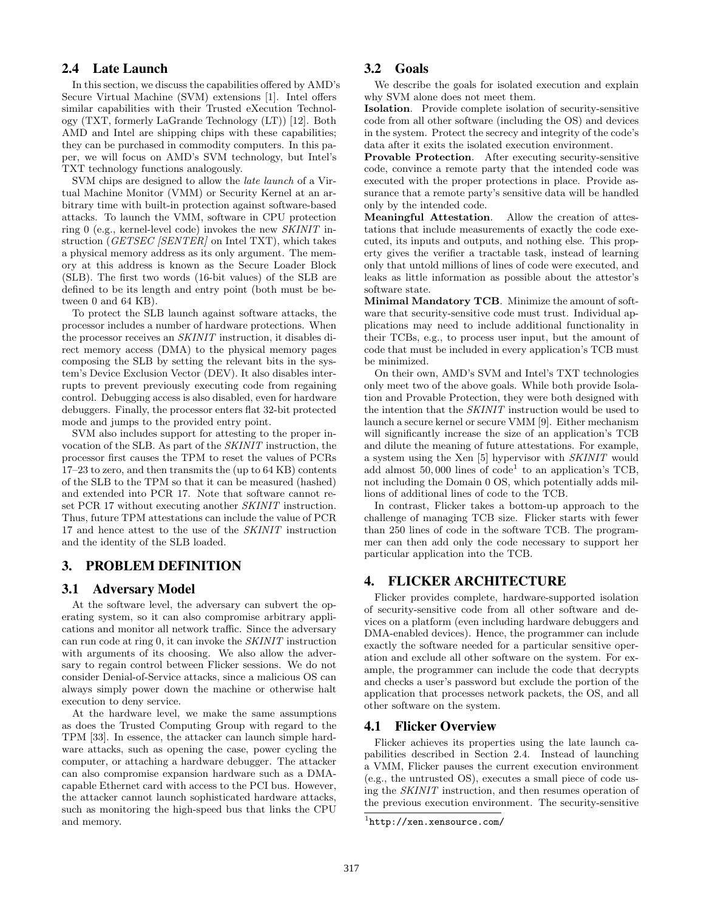# **2.4 Late Launch**

In this section, we discuss the capabilities offered by AMD's Secure Virtual Machine (SVM) extensions [1]. Intel offers similar capabilities with their Trusted eXecution Technology (TXT, formerly LaGrande Technology (LT)) [12]. Both AMD and Intel are shipping chips with these capabilities; they can be purchased in commodity computers. In this paper, we will focus on AMD's SVM technology, but Intel's TXT technology functions analogously.

SVM chips are designed to allow the late launch of a Virtual Machine Monitor (VMM) or Security Kernel at an arbitrary time with built-in protection against software-based attacks. To launch the VMM, software in CPU protection ring 0 (e.g., kernel-level code) invokes the new SKINIT instruction (*GETSEC* [SENTER] on Intel TXT), which takes a physical memory address as its only argument. The memory at this address is known as the Secure Loader Block (SLB). The first two words (16-bit values) of the SLB are defined to be its length and entry point (both must be between 0 and 64 KB).

To protect the SLB launch against software attacks, the processor includes a number of hardware protections. When the processor receives an SKINIT instruction, it disables direct memory access (DMA) to the physical memory pages composing the SLB by setting the relevant bits in the system's Device Exclusion Vector (DEV). It also disables interrupts to prevent previously executing code from regaining control. Debugging access is also disabled, even for hardware debuggers. Finally, the processor enters flat 32-bit protected mode and jumps to the provided entry point.

SVM also includes support for attesting to the proper invocation of the SLB. As part of the SKINIT instruction, the processor first causes the TPM to reset the values of PCRs 17–23 to zero, and then transmits the (up to 64 KB) contents of the SLB to the TPM so that it can be measured (hashed) and extended into PCR 17. Note that software cannot reset PCR 17 without executing another *SKINIT* instruction. Thus, future TPM attestations can include the value of PCR 17 and hence attest to the use of the SKINIT instruction and the identity of the SLB loaded.

# **3. PROBLEM DEFINITION**

# **3.1 Adversary Model**

At the software level, the adversary can subvert the operating system, so it can also compromise arbitrary applications and monitor all network traffic. Since the adversary can run code at ring 0, it can invoke the SKINIT instruction with arguments of its choosing. We also allow the adversary to regain control between Flicker sessions. We do not consider Denial-of-Service attacks, since a malicious OS can always simply power down the machine or otherwise halt execution to deny service.

At the hardware level, we make the same assumptions as does the Trusted Computing Group with regard to the TPM [33]. In essence, the attacker can launch simple hardware attacks, such as opening the case, power cycling the computer, or attaching a hardware debugger. The attacker can also compromise expansion hardware such as a DMAcapable Ethernet card with access to the PCI bus. However, the attacker cannot launch sophisticated hardware attacks, such as monitoring the high-speed bus that links the CPU and memory.

### **3.2 Goals**

We describe the goals for isolated execution and explain why SVM alone does not meet them.

Isolation. Provide complete isolation of security-sensitive code from all other software (including the OS) and devices in the system. Protect the secrecy and integrity of the code's data after it exits the isolated execution environment.

Provable Protection. After executing security-sensitive code, convince a remote party that the intended code was executed with the proper protections in place. Provide assurance that a remote party's sensitive data will be handled only by the intended code.

Meaningful Attestation. Allow the creation of attestations that include measurements of exactly the code executed, its inputs and outputs, and nothing else. This property gives the verifier a tractable task, instead of learning only that untold millions of lines of code were executed, and leaks as little information as possible about the attestor's software state.

Minimal Mandatory TCB. Minimize the amount of software that security-sensitive code must trust. Individual applications may need to include additional functionality in their TCBs, e.g., to process user input, but the amount of code that must be included in every application's TCB must be minimized.

On their own, AMD's SVM and Intel's TXT technologies only meet two of the above goals. While both provide Isolation and Provable Protection, they were both designed with the intention that the SKINIT instruction would be used to launch a secure kernel or secure VMM [9]. Either mechanism will significantly increase the size of an application's TCB and dilute the meaning of future attestations. For example, a system using the Xen [5] hypervisor with SKINIT would add almost  $50,000$  lines of  $code<sup>1</sup>$  to an application's TCB, not including the Domain 0 OS, which potentially adds millions of additional lines of code to the TCB.

In contrast, Flicker takes a bottom-up approach to the challenge of managing TCB size. Flicker starts with fewer than 250 lines of code in the software TCB. The programmer can then add only the code necessary to support her particular application into the TCB.

# **4. FLICKER ARCHITECTURE**

Flicker provides complete, hardware-supported isolation of security-sensitive code from all other software and devices on a platform (even including hardware debuggers and DMA-enabled devices). Hence, the programmer can include exactly the software needed for a particular sensitive operation and exclude all other software on the system. For example, the programmer can include the code that decrypts and checks a user's password but exclude the portion of the application that processes network packets, the OS, and all other software on the system.

# **4.1 Flicker Overview**

Flicker achieves its properties using the late launch capabilities described in Section 2.4. Instead of launching a VMM, Flicker pauses the current execution environment (e.g., the untrusted OS), executes a small piece of code using the SKINIT instruction, and then resumes operation of the previous execution environment. The security-sensitive

<sup>1</sup> http://xen.xensource.com/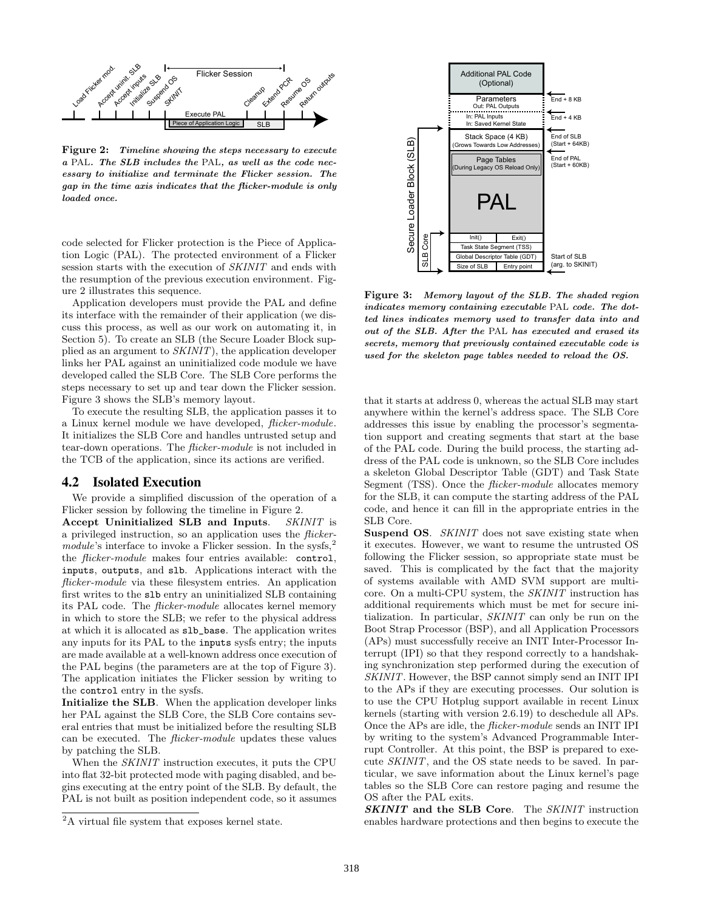

Figure 2: Timeline showing the steps necessary to execute a PAL. The SLB includes the PAL, as well as the code necessary to initialize and terminate the Flicker session. The gap in the time axis indicates that the flicker-module is only loaded once.

code selected for Flicker protection is the Piece of Application Logic (PAL). The protected environment of a Flicker session starts with the execution of SKINIT and ends with the resumption of the previous execution environment. Figure 2 illustrates this sequence.

Application developers must provide the PAL and define its interface with the remainder of their application (we discuss this process, as well as our work on automating it, in Section 5). To create an SLB (the Secure Loader Block supplied as an argument to SKINIT), the application developer links her PAL against an uninitialized code module we have developed called the SLB Core. The SLB Core performs the steps necessary to set up and tear down the Flicker session. Figure 3 shows the SLB's memory layout.

To execute the resulting SLB, the application passes it to a Linux kernel module we have developed, flicker-module. It initializes the SLB Core and handles untrusted setup and tear-down operations. The flicker-module is not included in the TCB of the application, since its actions are verified.

#### **4.2 Isolated Execution**

We provide a simplified discussion of the operation of a Flicker session by following the timeline in Figure 2.

Accept Uninitialized SLB and Inputs. SKINIT is a privileged instruction, so an application uses the flickermodule's interface to invoke a Flicker session. In the sysfs,  $2^{\circ}$ the flicker-module makes four entries available: control, inputs, outputs, and slb. Applications interact with the flicker-module via these filesystem entries. An application first writes to the slb entry an uninitialized SLB containing its PAL code. The *flicker-module* allocates kernel memory in which to store the SLB; we refer to the physical address at which it is allocated as slb\_base. The application writes any inputs for its PAL to the inputs sysfs entry; the inputs are made available at a well-known address once execution of the PAL begins (the parameters are at the top of Figure 3). The application initiates the Flicker session by writing to the control entry in the sysfs.

Initialize the SLB. When the application developer links her PAL against the SLB Core, the SLB Core contains several entries that must be initialized before the resulting SLB can be executed. The flicker-module updates these values by patching the SLB.

When the SKINIT instruction executes, it puts the CPU into flat 32-bit protected mode with paging disabled, and begins executing at the entry point of the SLB. By default, the PAL is not built as position independent code, so it assumes



Figure 3: Memory layout of the SLB. The shaded region indicates memory containing executable PAL code. The dotted lines indicates memory used to transfer data into and out of the SLB. After the PAL has executed and erased its secrets, memory that previously contained executable code is used for the skeleton page tables needed to reload the OS.

that it starts at address 0, whereas the actual SLB may start anywhere within the kernel's address space. The SLB Core addresses this issue by enabling the processor's segmentation support and creating segments that start at the base of the PAL code. During the build process, the starting address of the PAL code is unknown, so the SLB Core includes a skeleton Global Descriptor Table (GDT) and Task State Segment (TSS). Once the *flicker-module* allocates memory for the SLB, it can compute the starting address of the PAL code, and hence it can fill in the appropriate entries in the SLB Core.

Suspend OS. SKINIT does not save existing state when it executes. However, we want to resume the untrusted OS following the Flicker session, so appropriate state must be saved. This is complicated by the fact that the majority of systems available with AMD SVM support are multicore. On a multi-CPU system, the SKINIT instruction has additional requirements which must be met for secure initialization. In particular, SKINIT can only be run on the Boot Strap Processor (BSP), and all Application Processors (APs) must successfully receive an INIT Inter-Processor Interrupt (IPI) so that they respond correctly to a handshaking synchronization step performed during the execution of SKINIT. However, the BSP cannot simply send an INIT IPI to the APs if they are executing processes. Our solution is to use the CPU Hotplug support available in recent Linux kernels (starting with version 2.6.19) to deschedule all APs. Once the APs are idle, the flicker-module sends an INIT IPI by writing to the system's Advanced Programmable Interrupt Controller. At this point, the BSP is prepared to execute SKINIT, and the OS state needs to be saved. In particular, we save information about the Linux kernel's page tables so the SLB Core can restore paging and resume the OS after the PAL exits.

SKINIT and the SLB Core. The SKINIT instruction enables hardware protections and then begins to execute the

<sup>&</sup>lt;sup>2</sup>A virtual file system that exposes kernel state.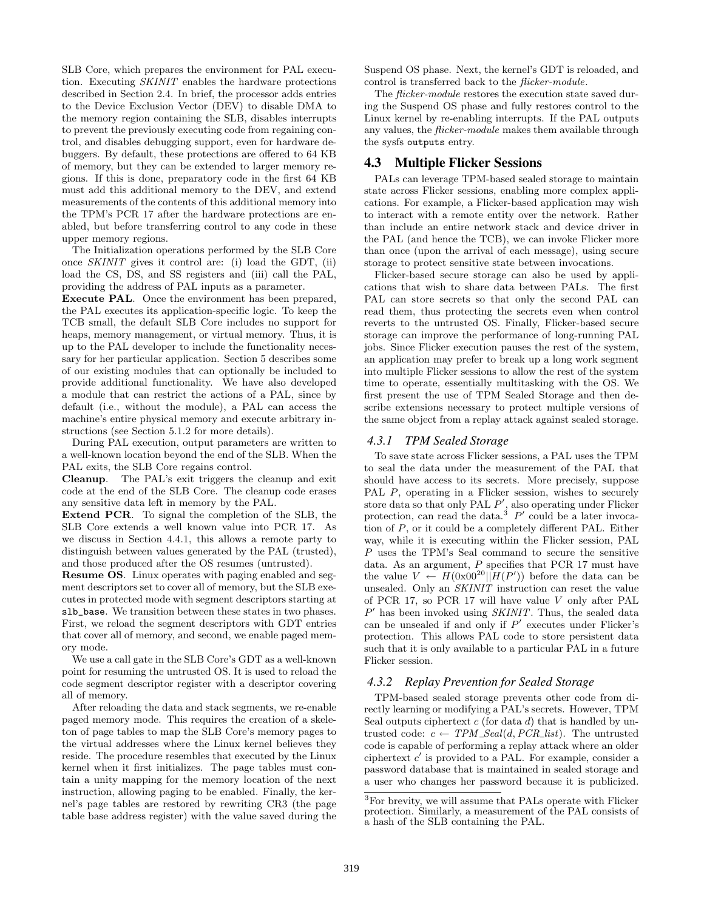SLB Core, which prepares the environment for PAL execution. Executing SKINIT enables the hardware protections described in Section 2.4. In brief, the processor adds entries to the Device Exclusion Vector (DEV) to disable DMA to the memory region containing the SLB, disables interrupts to prevent the previously executing code from regaining control, and disables debugging support, even for hardware debuggers. By default, these protections are offered to 64 KB of memory, but they can be extended to larger memory regions. If this is done, preparatory code in the first 64 KB must add this additional memory to the DEV, and extend measurements of the contents of this additional memory into the TPM's PCR 17 after the hardware protections are enabled, but before transferring control to any code in these upper memory regions.

The Initialization operations performed by the SLB Core once SKINIT gives it control are: (i) load the GDT, (ii) load the CS, DS, and SS registers and (iii) call the PAL, providing the address of PAL inputs as a parameter.

Execute PAL. Once the environment has been prepared, the PAL executes its application-specific logic. To keep the TCB small, the default SLB Core includes no support for heaps, memory management, or virtual memory. Thus, it is up to the PAL developer to include the functionality necessary for her particular application. Section 5 describes some of our existing modules that can optionally be included to provide additional functionality. We have also developed a module that can restrict the actions of a PAL, since by default (i.e., without the module), a PAL can access the machine's entire physical memory and execute arbitrary instructions (see Section 5.1.2 for more details).

During PAL execution, output parameters are written to a well-known location beyond the end of the SLB. When the PAL exits, the SLB Core regains control.

Cleanup. The PAL's exit triggers the cleanup and exit code at the end of the SLB Core. The cleanup code erases any sensitive data left in memory by the PAL.

Extend PCR. To signal the completion of the SLB, the SLB Core extends a well known value into PCR 17. As we discuss in Section 4.4.1, this allows a remote party to distinguish between values generated by the PAL (trusted), and those produced after the OS resumes (untrusted).

Resume OS. Linux operates with paging enabled and segment descriptors set to cover all of memory, but the SLB executes in protected mode with segment descriptors starting at slb\_base. We transition between these states in two phases. First, we reload the segment descriptors with GDT entries that cover all of memory, and second, we enable paged memory mode.

We use a call gate in the SLB Core's GDT as a well-known point for resuming the untrusted OS. It is used to reload the code segment descriptor register with a descriptor covering all of memory.

After reloading the data and stack segments, we re-enable paged memory mode. This requires the creation of a skeleton of page tables to map the SLB Core's memory pages to the virtual addresses where the Linux kernel believes they reside. The procedure resembles that executed by the Linux kernel when it first initializes. The page tables must contain a unity mapping for the memory location of the next instruction, allowing paging to be enabled. Finally, the kernel's page tables are restored by rewriting CR3 (the page table base address register) with the value saved during the Suspend OS phase. Next, the kernel's GDT is reloaded, and control is transferred back to the flicker-module.

The *flicker-module* restores the execution state saved during the Suspend OS phase and fully restores control to the Linux kernel by re-enabling interrupts. If the PAL outputs any values, the flicker-module makes them available through the sysfs outputs entry.

# **4.3 Multiple Flicker Sessions**

PALs can leverage TPM-based sealed storage to maintain state across Flicker sessions, enabling more complex applications. For example, a Flicker-based application may wish to interact with a remote entity over the network. Rather than include an entire network stack and device driver in the PAL (and hence the TCB), we can invoke Flicker more than once (upon the arrival of each message), using secure storage to protect sensitive state between invocations.

Flicker-based secure storage can also be used by applications that wish to share data between PALs. The first PAL can store secrets so that only the second PAL can read them, thus protecting the secrets even when control reverts to the untrusted OS. Finally, Flicker-based secure storage can improve the performance of long-running PAL jobs. Since Flicker execution pauses the rest of the system, an application may prefer to break up a long work segment into multiple Flicker sessions to allow the rest of the system time to operate, essentially multitasking with the OS. We first present the use of TPM Sealed Storage and then describe extensions necessary to protect multiple versions of the same object from a replay attack against sealed storage.

#### *4.3.1 TPM Sealed Storage*

To save state across Flicker sessions, a PAL uses the TPM to seal the data under the measurement of the PAL that should have access to its secrets. More precisely, suppose PAL P, operating in a Flicker session, wishes to securely store data so that only PAL  $P'$ , also operating under Flicker protection, can read the data.<sup>3</sup>  $P'$  could be a later invocation of P, or it could be a completely different PAL. Either way, while it is executing within the Flicker session, PAL P uses the TPM's Seal command to secure the sensitive data. As an argument, P specifies that PCR 17 must have the value  $V \leftarrow H(0x00^{20}||H(P'))$  before the data can be unsealed. Only an SKINIT instruction can reset the value of PCR 17, so PCR 17 will have value V only after PAL  $P'$  has been invoked using  $SKINIT$ . Thus, the sealed data can be unsealed if and only if  $P'$  executes under Flicker's protection. This allows PAL code to store persistent data such that it is only available to a particular PAL in a future Flicker session.

#### *4.3.2 Replay Prevention for Sealed Storage*

TPM-based sealed storage prevents other code from directly learning or modifying a PAL's secrets. However, TPM Seal outputs ciphertext  $c$  (for data  $d$ ) that is handled by untrusted code:  $c \leftarrow TPM\_Seal(d, PCR\_list)$ . The untrusted code is capable of performing a replay attack where an older ciphertext  $c'$  is provided to a PAL. For example, consider a password database that is maintained in sealed storage and a user who changes her password because it is publicized.

 $^3\rm{For}$  brevity, we will assume that PALs operate with Flicker protection. Similarly, a measurement of the PAL consists of a hash of the SLB containing the PAL.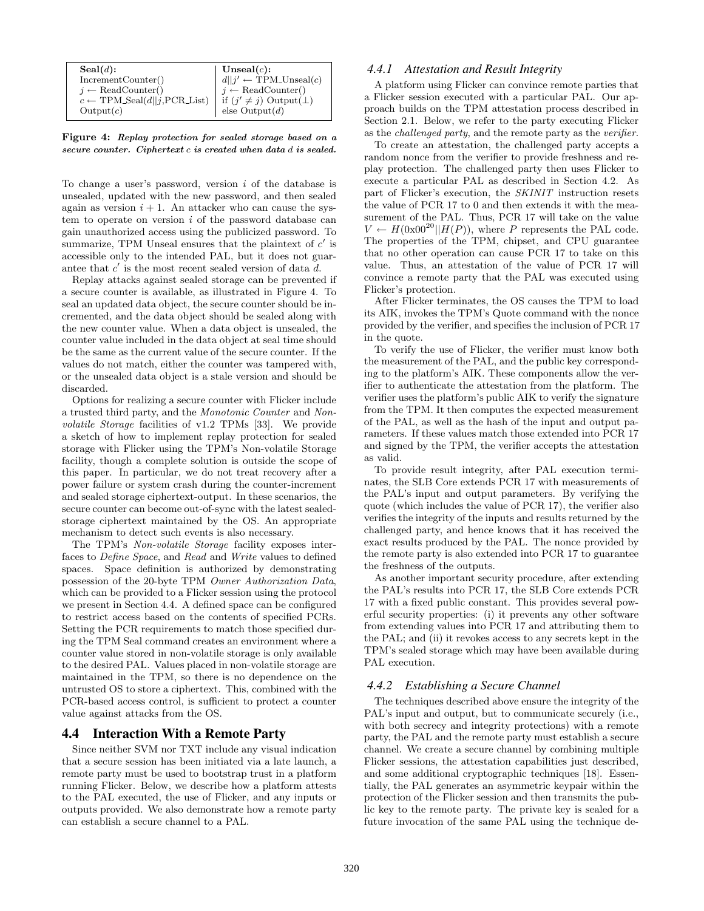| $\textbf{Seal}(d)$ :                                   | Unseal $(c)$ :                           |
|--------------------------------------------------------|------------------------------------------|
| IncrementCounter()                                     | $d  j' \leftarrow \text{TPM\_Unseal}(c)$ |
| $i \leftarrow \text{ReadCounter}()$                    | $i \leftarrow$ ReadCounter()             |
| $c \leftarrow \text{TPM\_Seal}(d  j,\text{PCR\_List})$ | if $(j' \neq j)$ Output $(L)$            |
| Output(c)                                              | else $Output(d)$                         |

Figure 4: Replay protection for sealed storage based on a secure counter. Ciphertext  $c$  is created when data  $d$  is sealed.

To change a user's password, version i of the database is unsealed, updated with the new password, and then sealed again as version  $i + 1$ . An attacker who can cause the system to operate on version  $i$  of the password database can gain unauthorized access using the publicized password. To summarize, TPM Unseal ensures that the plaintext of  $c'$  is accessible only to the intended PAL, but it does not guarantee that  $c'$  is the most recent sealed version of data  $d$ .

Replay attacks against sealed storage can be prevented if a secure counter is available, as illustrated in Figure 4. To seal an updated data object, the secure counter should be incremented, and the data object should be sealed along with the new counter value. When a data object is unsealed, the counter value included in the data object at seal time should be the same as the current value of the secure counter. If the values do not match, either the counter was tampered with, or the unsealed data object is a stale version and should be discarded.

Options for realizing a secure counter with Flicker include a trusted third party, and the Monotonic Counter and Nonvolatile Storage facilities of v1.2 TPMs [33]. We provide a sketch of how to implement replay protection for sealed storage with Flicker using the TPM's Non-volatile Storage facility, though a complete solution is outside the scope of this paper. In particular, we do not treat recovery after a power failure or system crash during the counter-increment and sealed storage ciphertext-output. In these scenarios, the secure counter can become out-of-sync with the latest sealedstorage ciphertext maintained by the OS. An appropriate mechanism to detect such events is also necessary.

The TPM's Non-volatile Storage facility exposes interfaces to Define Space, and Read and Write values to defined spaces. Space definition is authorized by demonstrating possession of the 20-byte TPM Owner Authorization Data, which can be provided to a Flicker session using the protocol we present in Section 4.4. A defined space can be configured to restrict access based on the contents of specified PCRs. Setting the PCR requirements to match those specified during the TPM Seal command creates an environment where a counter value stored in non-volatile storage is only available to the desired PAL. Values placed in non-volatile storage are maintained in the TPM, so there is no dependence on the untrusted OS to store a ciphertext. This, combined with the PCR-based access control, is sufficient to protect a counter value against attacks from the OS.

# **4.4 Interaction With a Remote Party**

Since neither SVM nor TXT include any visual indication that a secure session has been initiated via a late launch, a remote party must be used to bootstrap trust in a platform running Flicker. Below, we describe how a platform attests to the PAL executed, the use of Flicker, and any inputs or outputs provided. We also demonstrate how a remote party can establish a secure channel to a PAL.

#### *4.4.1 Attestation and Result Integrity*

A platform using Flicker can convince remote parties that a Flicker session executed with a particular PAL. Our approach builds on the TPM attestation process described in Section 2.1. Below, we refer to the party executing Flicker as the challenged party, and the remote party as the verifier.

To create an attestation, the challenged party accepts a random nonce from the verifier to provide freshness and replay protection. The challenged party then uses Flicker to execute a particular PAL as described in Section 4.2. As part of Flicker's execution, the SKINIT instruction resets the value of PCR 17 to 0 and then extends it with the measurement of the PAL. Thus, PCR 17 will take on the value  $V \leftarrow H(0x00^{20}||H(P))$ , where P represents the PAL code. The properties of the TPM, chipset, and CPU guarantee that no other operation can cause PCR 17 to take on this value. Thus, an attestation of the value of PCR 17 will convince a remote party that the PAL was executed using Flicker's protection.

After Flicker terminates, the OS causes the TPM to load its AIK, invokes the TPM's Quote command with the nonce provided by the verifier, and specifies the inclusion of PCR 17 in the quote.

To verify the use of Flicker, the verifier must know both the measurement of the PAL, and the public key corresponding to the platform's AIK. These components allow the verifier to authenticate the attestation from the platform. The verifier uses the platform's public AIK to verify the signature from the TPM. It then computes the expected measurement of the PAL, as well as the hash of the input and output parameters. If these values match those extended into PCR 17 and signed by the TPM, the verifier accepts the attestation as valid.

To provide result integrity, after PAL execution terminates, the SLB Core extends PCR 17 with measurements of the PAL's input and output parameters. By verifying the quote (which includes the value of PCR 17), the verifier also verifies the integrity of the inputs and results returned by the challenged party, and hence knows that it has received the exact results produced by the PAL. The nonce provided by the remote party is also extended into PCR 17 to guarantee the freshness of the outputs.

As another important security procedure, after extending the PAL's results into PCR 17, the SLB Core extends PCR 17 with a fixed public constant. This provides several powerful security properties: (i) it prevents any other software from extending values into PCR 17 and attributing them to the PAL; and (ii) it revokes access to any secrets kept in the TPM's sealed storage which may have been available during PAL execution.

#### *4.4.2 Establishing a Secure Channel*

The techniques described above ensure the integrity of the PAL's input and output, but to communicate securely (i.e., with both secrecy and integrity protections) with a remote party, the PAL and the remote party must establish a secure channel. We create a secure channel by combining multiple Flicker sessions, the attestation capabilities just described, and some additional cryptographic techniques [18]. Essentially, the PAL generates an asymmetric keypair within the protection of the Flicker session and then transmits the public key to the remote party. The private key is sealed for a future invocation of the same PAL using the technique de-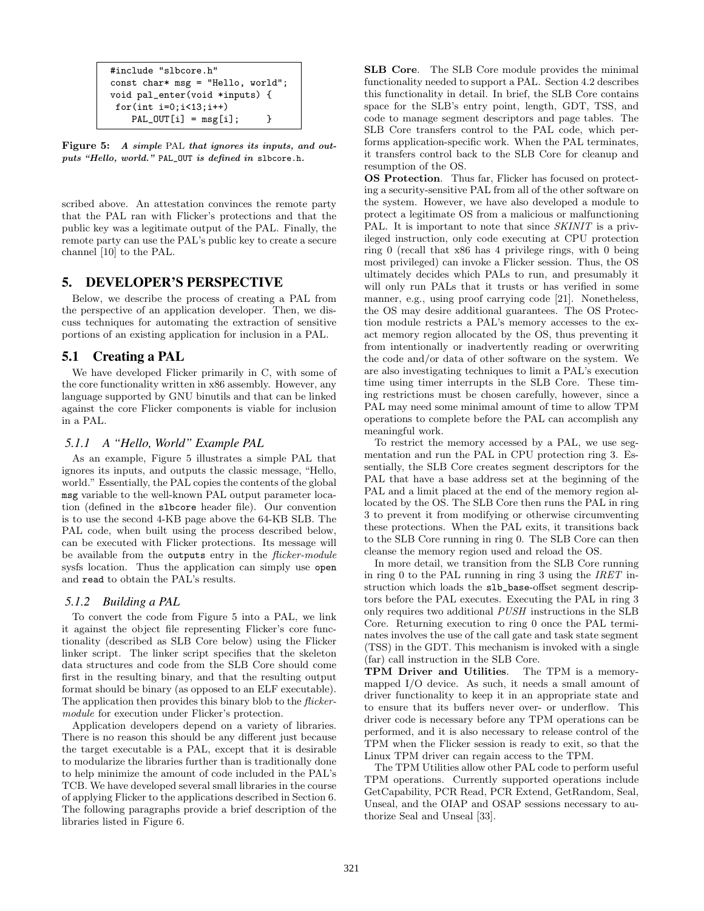```
#include "slbcore.h"
const char* msg = "Hello, world";
void pal_enter(void *inputs) {
for(int i=0;i<13;i++)
   PAL_OUT[i] = msg[i]; }
```
Figure 5: A simple PAL that ignores its inputs, and outputs "Hello, world." PAL\_OUT is defined in slbcore.h.

scribed above. An attestation convinces the remote party that the PAL ran with Flicker's protections and that the public key was a legitimate output of the PAL. Finally, the remote party can use the PAL's public key to create a secure channel [10] to the PAL.

# **5. DEVELOPER'S PERSPECTIVE**

Below, we describe the process of creating a PAL from the perspective of an application developer. Then, we discuss techniques for automating the extraction of sensitive portions of an existing application for inclusion in a PAL.

### **5.1 Creating a PAL**

We have developed Flicker primarily in C, with some of the core functionality written in x86 assembly. However, any language supported by GNU binutils and that can be linked against the core Flicker components is viable for inclusion in a PAL.

#### *5.1.1 A "Hello, World" Example PAL*

As an example, Figure 5 illustrates a simple PAL that ignores its inputs, and outputs the classic message, "Hello, world." Essentially, the PAL copies the contents of the global msg variable to the well-known PAL output parameter location (defined in the slbcore header file). Our convention is to use the second 4-KB page above the 64-KB SLB. The PAL code, when built using the process described below, can be executed with Flicker protections. Its message will be available from the outputs entry in the *flicker-module* sysfs location. Thus the application can simply use open and read to obtain the PAL's results.

#### *5.1.2 Building a PAL*

To convert the code from Figure 5 into a PAL, we link it against the object file representing Flicker's core functionality (described as SLB Core below) using the Flicker linker script. The linker script specifies that the skeleton data structures and code from the SLB Core should come first in the resulting binary, and that the resulting output format should be binary (as opposed to an ELF executable). The application then provides this binary blob to the *flicker*module for execution under Flicker's protection.

Application developers depend on a variety of libraries. There is no reason this should be any different just because the target executable is a PAL, except that it is desirable to modularize the libraries further than is traditionally done to help minimize the amount of code included in the PAL's TCB. We have developed several small libraries in the course of applying Flicker to the applications described in Section 6. The following paragraphs provide a brief description of the libraries listed in Figure 6.

SLB Core. The SLB Core module provides the minimal functionality needed to support a PAL. Section 4.2 describes this functionality in detail. In brief, the SLB Core contains space for the SLB's entry point, length, GDT, TSS, and code to manage segment descriptors and page tables. The SLB Core transfers control to the PAL code, which performs application-specific work. When the PAL terminates, it transfers control back to the SLB Core for cleanup and resumption of the OS.

OS Protection. Thus far, Flicker has focused on protecting a security-sensitive PAL from all of the other software on the system. However, we have also developed a module to protect a legitimate OS from a malicious or malfunctioning PAL. It is important to note that since SKINIT is a privileged instruction, only code executing at CPU protection ring 0 (recall that x86 has 4 privilege rings, with 0 being most privileged) can invoke a Flicker session. Thus, the OS ultimately decides which PALs to run, and presumably it will only run PALs that it trusts or has verified in some manner, e.g., using proof carrying code [21]. Nonetheless, the OS may desire additional guarantees. The OS Protection module restricts a PAL's memory accesses to the exact memory region allocated by the OS, thus preventing it from intentionally or inadvertently reading or overwriting the code and/or data of other software on the system. We are also investigating techniques to limit a PAL's execution time using timer interrupts in the SLB Core. These timing restrictions must be chosen carefully, however, since a PAL may need some minimal amount of time to allow TPM operations to complete before the PAL can accomplish any meaningful work.

To restrict the memory accessed by a PAL, we use segmentation and run the PAL in CPU protection ring 3. Essentially, the SLB Core creates segment descriptors for the PAL that have a base address set at the beginning of the PAL and a limit placed at the end of the memory region allocated by the OS. The SLB Core then runs the PAL in ring 3 to prevent it from modifying or otherwise circumventing these protections. When the PAL exits, it transitions back to the SLB Core running in ring 0. The SLB Core can then cleanse the memory region used and reload the OS.

In more detail, we transition from the SLB Core running in ring 0 to the PAL running in ring 3 using the IRET instruction which loads the slb\_base-offset segment descriptors before the PAL executes. Executing the PAL in ring 3 only requires two additional PUSH instructions in the SLB Core. Returning execution to ring 0 once the PAL terminates involves the use of the call gate and task state segment (TSS) in the GDT. This mechanism is invoked with a single (far) call instruction in the SLB Core.

TPM Driver and Utilities. The TPM is a memorymapped I/O device. As such, it needs a small amount of driver functionality to keep it in an appropriate state and to ensure that its buffers never over- or underflow. This driver code is necessary before any TPM operations can be performed, and it is also necessary to release control of the TPM when the Flicker session is ready to exit, so that the Linux TPM driver can regain access to the TPM.

The TPM Utilities allow other PAL code to perform useful TPM operations. Currently supported operations include GetCapability, PCR Read, PCR Extend, GetRandom, Seal, Unseal, and the OIAP and OSAP sessions necessary to authorize Seal and Unseal [33].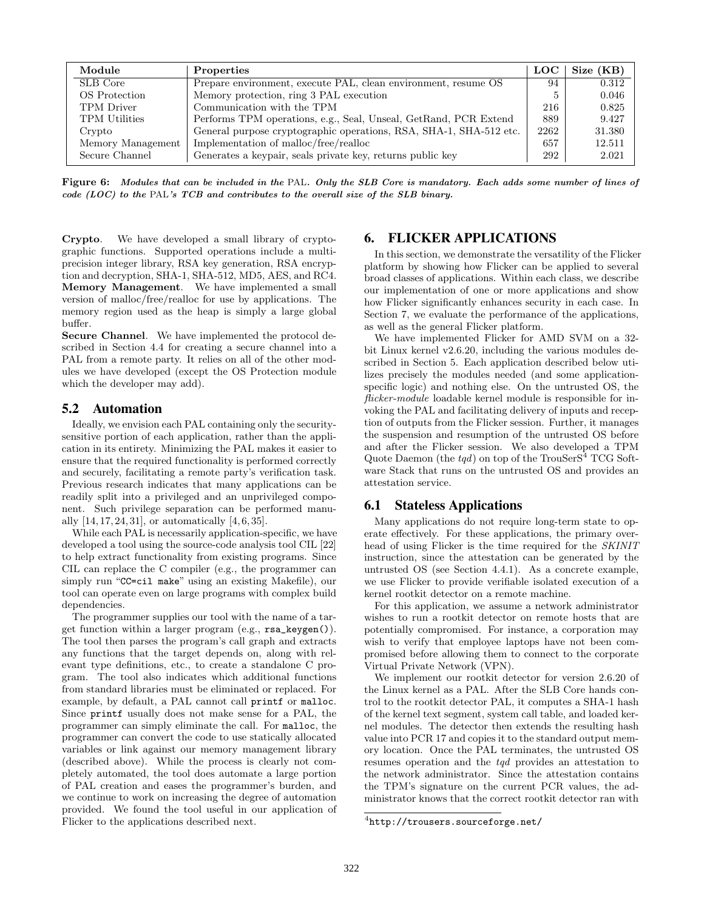| Module               | Properties                                                         | LOC  | Size (KB) |
|----------------------|--------------------------------------------------------------------|------|-----------|
| SLB Core             | Prepare environment, execute PAL, clean environment, resume OS     | 94   | 0.312     |
| OS Protection        | Memory protection, ring 3 PAL execution                            | 5.   | 0.046     |
| <b>TPM</b> Driver    | Communication with the TPM                                         | 216  | 0.825     |
| <b>TPM</b> Utilities | Performs TPM operations, e.g., Seal, Unseal, GetRand, PCR Extend   | 889  | 9.427     |
| Crypto               | General purpose cryptographic operations, RSA, SHA-1, SHA-512 etc. | 2262 | 31.380    |
| Memory Management    | Implementation of malloc/free/realloc                              | 657  | 12.511    |
| Secure Channel       | Generates a keypair, seals private key, returns public key         | 292  | 2.021     |

Figure 6: Modules that can be included in the PAL. Only the SLB Core is mandatory. Each adds some number of lines of code (LOC) to the PAL's TCB and contributes to the overall size of the SLB binary.

Crypto. We have developed a small library of cryptographic functions. Supported operations include a multiprecision integer library, RSA key generation, RSA encryption and decryption, SHA-1, SHA-512, MD5, AES, and RC4. Memory Management. We have implemented a small version of malloc/free/realloc for use by applications. The memory region used as the heap is simply a large global buffer.

Secure Channel. We have implemented the protocol described in Section 4.4 for creating a secure channel into a PAL from a remote party. It relies on all of the other modules we have developed (except the OS Protection module which the developer may add).

# **5.2 Automation**

Ideally, we envision each PAL containing only the securitysensitive portion of each application, rather than the application in its entirety. Minimizing the PAL makes it easier to ensure that the required functionality is performed correctly and securely, facilitating a remote party's verification task. Previous research indicates that many applications can be readily split into a privileged and an unprivileged component. Such privilege separation can be performed manually  $[14, 17, 24, 31]$ , or automatically  $[4, 6, 35]$ .

While each PAL is necessarily application-specific, we have developed a tool using the source-code analysis tool CIL [22] to help extract functionality from existing programs. Since CIL can replace the C compiler (e.g., the programmer can simply run "CC=cil make" using an existing Makefile), our tool can operate even on large programs with complex build dependencies.

The programmer supplies our tool with the name of a target function within a larger program (e.g., rsa\_keygen()). The tool then parses the program's call graph and extracts any functions that the target depends on, along with relevant type definitions, etc., to create a standalone C program. The tool also indicates which additional functions from standard libraries must be eliminated or replaced. For example, by default, a PAL cannot call printf or malloc. Since printf usually does not make sense for a PAL, the programmer can simply eliminate the call. For malloc, the programmer can convert the code to use statically allocated variables or link against our memory management library (described above). While the process is clearly not completely automated, the tool does automate a large portion of PAL creation and eases the programmer's burden, and we continue to work on increasing the degree of automation provided. We found the tool useful in our application of Flicker to the applications described next.

# **6. FLICKER APPLICATIONS**

In this section, we demonstrate the versatility of the Flicker platform by showing how Flicker can be applied to several broad classes of applications. Within each class, we describe our implementation of one or more applications and show how Flicker significantly enhances security in each case. In Section 7, we evaluate the performance of the applications, as well as the general Flicker platform.

We have implemented Flicker for AMD SVM on a 32 bit Linux kernel v2.6.20, including the various modules described in Section 5. Each application described below utilizes precisely the modules needed (and some applicationspecific logic) and nothing else. On the untrusted OS, the flicker-module loadable kernel module is responsible for invoking the PAL and facilitating delivery of inputs and reception of outputs from the Flicker session. Further, it manages the suspension and resumption of the untrusted OS before and after the Flicker session. We also developed a TPM Quote Daemon (the  $tqd$ ) on top of the TrouSerS<sup>4</sup> TCG Software Stack that runs on the untrusted OS and provides an attestation service.

# **6.1 Stateless Applications**

Many applications do not require long-term state to operate effectively. For these applications, the primary overhead of using Flicker is the time required for the SKINIT instruction, since the attestation can be generated by the untrusted OS (see Section 4.4.1). As a concrete example, we use Flicker to provide verifiable isolated execution of a kernel rootkit detector on a remote machine.

For this application, we assume a network administrator wishes to run a rootkit detector on remote hosts that are potentially compromised. For instance, a corporation may wish to verify that employee laptops have not been compromised before allowing them to connect to the corporate Virtual Private Network (VPN).

We implement our rootkit detector for version 2.6.20 of the Linux kernel as a PAL. After the SLB Core hands control to the rootkit detector PAL, it computes a SHA-1 hash of the kernel text segment, system call table, and loaded kernel modules. The detector then extends the resulting hash value into PCR 17 and copies it to the standard output memory location. Once the PAL terminates, the untrusted OS resumes operation and the tqd provides an attestation to the network administrator. Since the attestation contains the TPM's signature on the current PCR values, the administrator knows that the correct rootkit detector ran with

<sup>4</sup> http://trousers.sourceforge.net/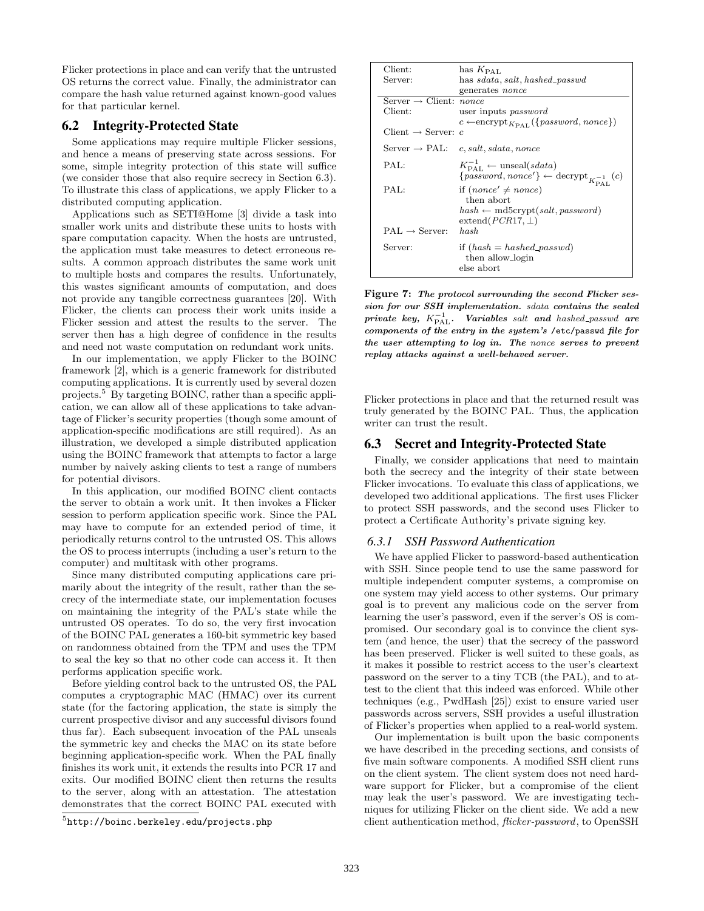Flicker protections in place and can verify that the untrusted OS returns the correct value. Finally, the administrator can compare the hash value returned against known-good values for that particular kernel.

### **6.2 Integrity-Protected State**

Some applications may require multiple Flicker sessions, and hence a means of preserving state across sessions. For some, simple integrity protection of this state will suffice (we consider those that also require secrecy in Section 6.3). To illustrate this class of applications, we apply Flicker to a distributed computing application.

Applications such as SETI@Home [3] divide a task into smaller work units and distribute these units to hosts with spare computation capacity. When the hosts are untrusted, the application must take measures to detect erroneous results. A common approach distributes the same work unit to multiple hosts and compares the results. Unfortunately, this wastes significant amounts of computation, and does not provide any tangible correctness guarantees [20]. With Flicker, the clients can process their work units inside a Flicker session and attest the results to the server. The server then has a high degree of confidence in the results and need not waste computation on redundant work units.

In our implementation, we apply Flicker to the BOINC framework [2], which is a generic framework for distributed computing applications. It is currently used by several dozen projects.<sup>5</sup> By targeting BOINC, rather than a specific application, we can allow all of these applications to take advantage of Flicker's security properties (though some amount of application-specific modifications are still required). As an illustration, we developed a simple distributed application using the BOINC framework that attempts to factor a large number by naively asking clients to test a range of numbers for potential divisors.

In this application, our modified BOINC client contacts the server to obtain a work unit. It then invokes a Flicker session to perform application specific work. Since the PAL may have to compute for an extended period of time, it periodically returns control to the untrusted OS. This allows the OS to process interrupts (including a user's return to the computer) and multitask with other programs.

Since many distributed computing applications care primarily about the integrity of the result, rather than the secrecy of the intermediate state, our implementation focuses on maintaining the integrity of the PAL's state while the untrusted OS operates. To do so, the very first invocation of the BOINC PAL generates a 160-bit symmetric key based on randomness obtained from the TPM and uses the TPM to seal the key so that no other code can access it. It then performs application specific work.

Before yielding control back to the untrusted OS, the PAL computes a cryptographic MAC (HMAC) over its current state (for the factoring application, the state is simply the current prospective divisor and any successful divisors found thus far). Each subsequent invocation of the PAL unseals the symmetric key and checks the MAC on its state before beginning application-specific work. When the PAL finally finishes its work unit, it extends the results into PCR 17 and exits. Our modified BOINC client then returns the results to the server, along with an attestation. The attestation demonstrates that the correct BOINC PAL executed with

| Client:                                   | has $K_{\text{PAL}}$                                                     |
|-------------------------------------------|--------------------------------------------------------------------------|
| Server:                                   | has sdata, salt, hashed_passwd                                           |
|                                           | generates nonce                                                          |
| Server $\rightarrow$ Client: <i>nonce</i> |                                                                          |
| Client:                                   | user inputs <i>password</i>                                              |
|                                           | $c \leftarrow \text{encrypt}_{K_{\text{PAL}}}(\{password, nonce\})$      |
| Client $\rightarrow$ Server: c            |                                                                          |
|                                           | Server $\rightarrow$ PAL: c, salt, sdata, nonce                          |
| PAL:                                      | $K_{\text{PAL}}^{-1} \leftarrow$ unseal(sdata)                           |
|                                           | ${max} \{password, nonce'\} \leftarrow decrypt_{K_{\text{PAL}}^{-1}}(c)$ |
| PAL:                                      | if $(nonce' \neq nonce)$                                                 |
|                                           | then abort                                                               |
|                                           | $hash \leftarrow \text{mdScrypt}(salt, password)$                        |
|                                           | extend( $PCR17, \perp$ )                                                 |
| $PAL \rightarrow Server$ :                | hash                                                                     |
| Server:                                   | if $(hash = hashed\_password)$                                           |
|                                           | then allow_login                                                         |
|                                           | else abort                                                               |

Figure 7: The protocol surrounding the second Flicker session for our SSH implementation. sdata contains the sealed private key,  $K_{\text{PAL}}^{-1}$ . Variables salt and hashed\_passwd are components of the entry in the system's /etc/passwd file for the user attempting to log in. The nonce serves to prevent replay attacks against a well-behaved server.

Flicker protections in place and that the returned result was truly generated by the BOINC PAL. Thus, the application writer can trust the result.

### **6.3 Secret and Integrity-Protected State**

Finally, we consider applications that need to maintain both the secrecy and the integrity of their state between Flicker invocations. To evaluate this class of applications, we developed two additional applications. The first uses Flicker to protect SSH passwords, and the second uses Flicker to protect a Certificate Authority's private signing key.

#### *6.3.1 SSH Password Authentication*

We have applied Flicker to password-based authentication with SSH. Since people tend to use the same password for multiple independent computer systems, a compromise on one system may yield access to other systems. Our primary goal is to prevent any malicious code on the server from learning the user's password, even if the server's OS is compromised. Our secondary goal is to convince the client system (and hence, the user) that the secrecy of the password has been preserved. Flicker is well suited to these goals, as it makes it possible to restrict access to the user's cleartext password on the server to a tiny TCB (the PAL), and to attest to the client that this indeed was enforced. While other techniques (e.g., PwdHash [25]) exist to ensure varied user passwords across servers, SSH provides a useful illustration of Flicker's properties when applied to a real-world system.

Our implementation is built upon the basic components we have described in the preceding sections, and consists of five main software components. A modified SSH client runs on the client system. The client system does not need hardware support for Flicker, but a compromise of the client may leak the user's password. We are investigating techniques for utilizing Flicker on the client side. We add a new client authentication method, flicker-password, to OpenSSH

<sup>5</sup> http://boinc.berkeley.edu/projects.php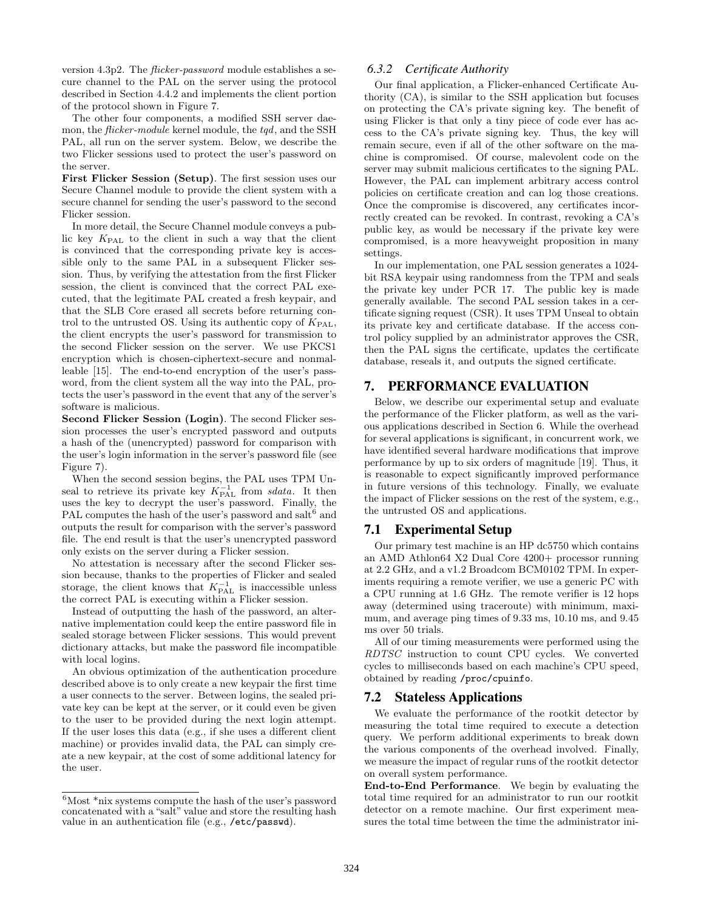version 4.3p2. The flicker-password module establishes a secure channel to the PAL on the server using the protocol described in Section 4.4.2 and implements the client portion of the protocol shown in Figure 7.

The other four components, a modified SSH server daemon, the *flicker-module* kernel module, the tqd, and the SSH PAL, all run on the server system. Below, we describe the two Flicker sessions used to protect the user's password on the server.

First Flicker Session (Setup). The first session uses our Secure Channel module to provide the client system with a secure channel for sending the user's password to the second Flicker session.

In more detail, the Secure Channel module conveys a public key  $K_{\text{PAL}}$  to the client in such a way that the client is convinced that the corresponding private key is accessible only to the same PAL in a subsequent Flicker session. Thus, by verifying the attestation from the first Flicker session, the client is convinced that the correct PAL executed, that the legitimate PAL created a fresh keypair, and that the SLB Core erased all secrets before returning control to the untrusted OS. Using its authentic copy of  $K_{\text{PAL}}$ , the client encrypts the user's password for transmission to the second Flicker session on the server. We use PKCS1 encryption which is chosen-ciphertext-secure and nonmalleable [15]. The end-to-end encryption of the user's password, from the client system all the way into the PAL, protects the user's password in the event that any of the server's software is malicious.

Second Flicker Session (Login). The second Flicker session processes the user's encrypted password and outputs a hash of the (unencrypted) password for comparison with the user's login information in the server's password file (see Figure 7).

When the second session begins, the PAL uses TPM Unseal to retrieve its private key  $K_{\text{PAL}}^{-1}$  from sdata. It then uses the key to decrypt the user's password. Finally, the PAL computes the hash of the user's password and salt<sup>6</sup> and outputs the result for comparison with the server's password file. The end result is that the user's unencrypted password only exists on the server during a Flicker session.

No attestation is necessary after the second Flicker session because, thanks to the properties of Flicker and sealed storage, the client knows that  $K_{\text{PAL}}^{-1}$  is inaccessible unless the correct PAL is executing within a Flicker session.

Instead of outputting the hash of the password, an alternative implementation could keep the entire password file in sealed storage between Flicker sessions. This would prevent dictionary attacks, but make the password file incompatible with local logins.

An obvious optimization of the authentication procedure described above is to only create a new keypair the first time a user connects to the server. Between logins, the sealed private key can be kept at the server, or it could even be given to the user to be provided during the next login attempt. If the user loses this data (e.g., if she uses a different client machine) or provides invalid data, the PAL can simply create a new keypair, at the cost of some additional latency for the user.

#### *6.3.2 Certificate Authority*

Our final application, a Flicker-enhanced Certificate Authority (CA), is similar to the SSH application but focuses on protecting the CA's private signing key. The benefit of using Flicker is that only a tiny piece of code ever has access to the CA's private signing key. Thus, the key will remain secure, even if all of the other software on the machine is compromised. Of course, malevolent code on the server may submit malicious certificates to the signing PAL. However, the PAL can implement arbitrary access control policies on certificate creation and can log those creations. Once the compromise is discovered, any certificates incorrectly created can be revoked. In contrast, revoking a CA's public key, as would be necessary if the private key were compromised, is a more heavyweight proposition in many settings.

In our implementation, one PAL session generates a 1024 bit RSA keypair using randomness from the TPM and seals the private key under PCR 17. The public key is made generally available. The second PAL session takes in a certificate signing request (CSR). It uses TPM Unseal to obtain its private key and certificate database. If the access control policy supplied by an administrator approves the CSR, then the PAL signs the certificate, updates the certificate database, reseals it, and outputs the signed certificate.

### **7. PERFORMANCE EVALUATION**

Below, we describe our experimental setup and evaluate the performance of the Flicker platform, as well as the various applications described in Section 6. While the overhead for several applications is significant, in concurrent work, we have identified several hardware modifications that improve performance by up to six orders of magnitude [19]. Thus, it is reasonable to expect significantly improved performance in future versions of this technology. Finally, we evaluate the impact of Flicker sessions on the rest of the system, e.g., the untrusted OS and applications.

### **7.1 Experimental Setup**

Our primary test machine is an HP dc5750 which contains an AMD Athlon64 X2 Dual Core 4200+ processor running at 2.2 GHz, and a v1.2 Broadcom BCM0102 TPM. In experiments requiring a remote verifier, we use a generic PC with a CPU running at 1.6 GHz. The remote verifier is 12 hops away (determined using traceroute) with minimum, maximum, and average ping times of 9.33 ms, 10.10 ms, and 9.45 ms over 50 trials.

All of our timing measurements were performed using the RDTSC instruction to count CPU cycles. We converted cycles to milliseconds based on each machine's CPU speed, obtained by reading /proc/cpuinfo.

#### **7.2 Stateless Applications**

We evaluate the performance of the rootkit detector by measuring the total time required to execute a detection query. We perform additional experiments to break down the various components of the overhead involved. Finally, we measure the impact of regular runs of the rootkit detector on overall system performance.

End-to-End Performance. We begin by evaluating the total time required for an administrator to run our rootkit detector on a remote machine. Our first experiment measures the total time between the time the administrator ini-

 $^6{\rm{Most}}$  \*nix systems compute the hash of the user's password concatenated with a "salt" value and store the resulting hash value in an authentication file (e.g., /etc/passwd).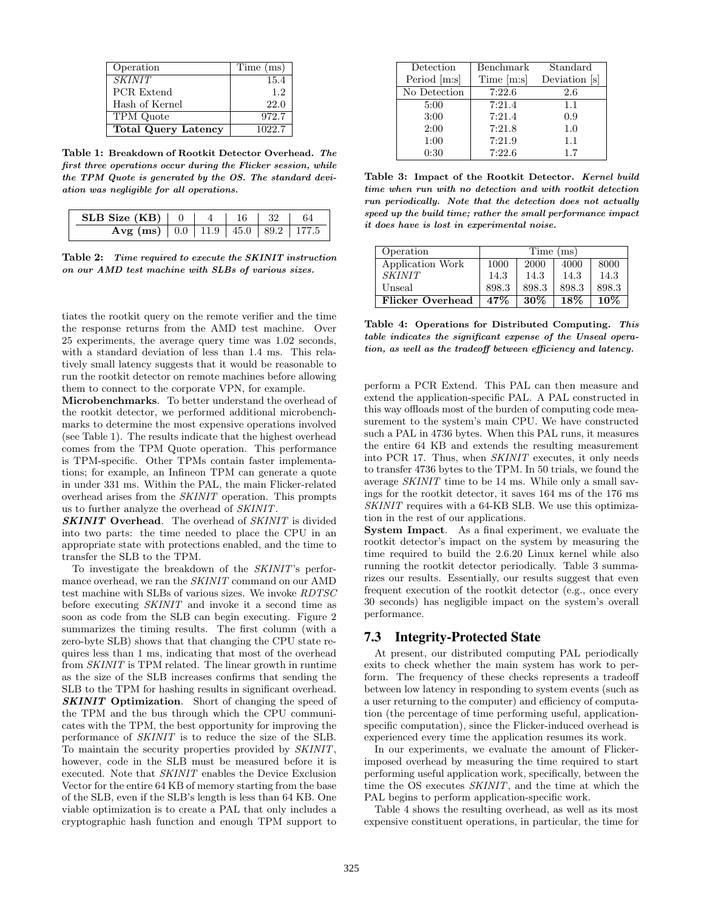| Operation                  | Time (ms) |
|----------------------------|-----------|
| <b>SKINIT</b>              | 15.4      |
| <b>PCR</b> Extend          | 1.2       |
| Hash of Kernel             | 22.0      |
| TPM Quote                  | 972.7     |
| <b>Total Query Latency</b> | 1022.7    |

Table 1: Breakdown of Rootkit Detector Overhead. The first three operations occur during the Flicker session, while the TPM Quote is generated by the OS. The standard deviation was negligible for all operations.

| SLB Size (KB)   0   4   16   32   64 |  |  |  |
|--------------------------------------|--|--|--|
|                                      |  |  |  |

Table 2: Time required to execute the SKINIT instruction on our AMD test machine with SLBs of various sizes.

tiates the rootkit query on the remote verifier and the time the response returns from the AMD test machine. Over 25 experiments, the average query time was 1.02 seconds, with a standard deviation of less than 1.4 ms. This relatively small latency suggests that it would be reasonable to run the rootkit detector on remote machines before allowing them to connect to the corporate VPN, for example.

Microbenchmarks. To better understand the overhead of the rootkit detector, we performed additional microbenchmarks to determine the most expensive operations involved (see Table 1). The results indicate that the highest overhead comes from the TPM Quote operation. This performance is TPM-specific. Other TPMs contain faster implementations; for example, an Infineon TPM can generate a quote in under 331 ms. Within the PAL, the main Flicker-related overhead arises from the SKINIT operation. This prompts us to further analyze the overhead of SKINIT.

**SKINIT Overhead.** The overhead of SKINIT is divided into two parts: the time needed to place the CPU in an appropriate state with protections enabled, and the time to transfer the SLB to the TPM.

To investigate the breakdown of the SKINIT's performance overhead, we ran the SKINIT command on our AMD test machine with SLBs of various sizes. We invoke RDTSC before executing SKINIT and invoke it a second time as soon as code from the SLB can begin executing. Figure 2 summarizes the timing results. The first column (with a zero-byte SLB) shows that that changing the CPU state requires less than 1 ms, indicating that most of the overhead from SKINIT is TPM related. The linear growth in runtime as the size of the SLB increases confirms that sending the SLB to the TPM for hashing results in significant overhead. **SKINIT** Optimization. Short of changing the speed of the TPM and the bus through which the CPU communicates with the TPM, the best opportunity for improving the performance of SKINIT is to reduce the size of the SLB. To maintain the security properties provided by SKINIT, however, code in the SLB must be measured before it is executed. Note that SKINIT enables the Device Exclusion Vector for the entire 64 KB of memory starting from the base of the SLB, even if the SLB's length is less than 64 KB. One viable optimization is to create a PAL that only includes a cryptographic hash function and enough TPM support to

| Detection    | Benchmark  | Standard      |
|--------------|------------|---------------|
| Period [m:s] | Time [m:s] | Deviation [s] |
| No Detection | 7:22.6     | 2.6           |
| 5:00         | 7:21.4     | 1.1           |
| 3:00         | 7:21.4     | 0.9           |
| 2:00         | 7:21.8     | 1.0           |
| 1:00         | 7:21.9     | 1.1           |
| 0:30         | 7:22.6     | 17            |

Table 3: Impact of the Rootkit Detector. Kernel build time when run with no detection and with rootkit detection run periodically. Note that the detection does not actually speed up the build time; rather the small performance impact it does have is lost in experimental noise.

| Operation               | Time (ms) |       |       |        |
|-------------------------|-----------|-------|-------|--------|
| Application Work        | 1000      | 2000  | 4000  | 8000   |
| <b>SKINIT</b>           | 14.3      | 14.3  | 14.3  | 14.3   |
| Unseal                  | 898.3     | 898.3 | 898.3 | 898.3  |
| <b>Flicker Overhead</b> | $47\%$    | 30%   | 18%   | $10\%$ |

Table 4: Operations for Distributed Computing. This table indicates the significant expense of the Unseal operation, as well as the tradeoff between efficiency and latency.

perform a PCR Extend. This PAL can then measure and extend the application-specific PAL. A PAL constructed in this way offloads most of the burden of computing code measurement to the system's main CPU. We have constructed such a PAL in 4736 bytes. When this PAL runs, it measures the entire 64 KB and extends the resulting measurement into PCR 17. Thus, when SKINIT executes, it only needs to transfer 4736 bytes to the TPM. In 50 trials, we found the average SKINIT time to be 14 ms. While only a small savings for the rootkit detector, it saves 164 ms of the 176 ms SKINIT requires with a 64-KB SLB. We use this optimization in the rest of our applications.

System Impact. As a final experiment, we evaluate the rootkit detector's impact on the system by measuring the time required to build the 2.6.20 Linux kernel while also running the rootkit detector periodically. Table 3 summarizes our results. Essentially, our results suggest that even frequent execution of the rootkit detector (e.g., once every 30 seconds) has negligible impact on the system's overall performance.

# **7.3 Integrity-Protected State**

At present, our distributed computing PAL periodically exits to check whether the main system has work to perform. The frequency of these checks represents a tradeoff between low latency in responding to system events (such as a user returning to the computer) and efficiency of computation (the percentage of time performing useful, applicationspecific computation), since the Flicker-induced overhead is experienced every time the application resumes its work.

In our experiments, we evaluate the amount of Flickerimposed overhead by measuring the time required to start performing useful application work, specifically, between the time the OS executes SKINIT, and the time at which the PAL begins to perform application-specific work.

Table 4 shows the resulting overhead, as well as its most expensive constituent operations, in particular, the time for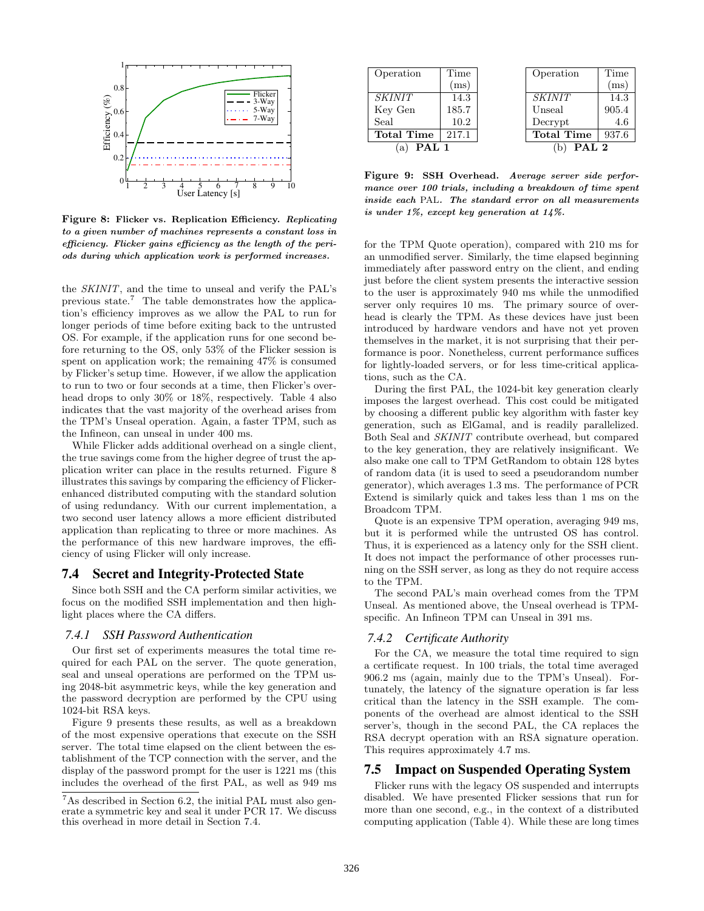

Figure 8: Flicker vs. Replication Efficiency. Replicating to a given number of machines represents a constant loss in efficiency. Flicker gains efficiency as the length of the periods during which application work is performed increases.

the SKINIT, and the time to unseal and verify the PAL's previous state.<sup>7</sup> The table demonstrates how the application's efficiency improves as we allow the PAL to run for longer periods of time before exiting back to the untrusted OS. For example, if the application runs for one second before returning to the OS, only 53% of the Flicker session is spent on application work; the remaining 47% is consumed by Flicker's setup time. However, if we allow the application to run to two or four seconds at a time, then Flicker's overhead drops to only 30% or 18%, respectively. Table 4 also indicates that the vast majority of the overhead arises from the TPM's Unseal operation. Again, a faster TPM, such as the Infineon, can unseal in under 400 ms.

While Flicker adds additional overhead on a single client, the true savings come from the higher degree of trust the application writer can place in the results returned. Figure 8 illustrates this savings by comparing the efficiency of Flickerenhanced distributed computing with the standard solution of using redundancy. With our current implementation, a two second user latency allows a more efficient distributed application than replicating to three or more machines. As the performance of this new hardware improves, the efficiency of using Flicker will only increase.

### **7.4 Secret and Integrity-Protected State**

Since both SSH and the CA perform similar activities, we focus on the modified SSH implementation and then highlight places where the CA differs.

#### *7.4.1 SSH Password Authentication*

Our first set of experiments measures the total time required for each PAL on the server. The quote generation, seal and unseal operations are performed on the TPM using 2048-bit asymmetric keys, while the key generation and the password decryption are performed by the CPU using 1024-bit RSA keys.

Figure 9 presents these results, as well as a breakdown of the most expensive operations that execute on the SSH server. The total time elapsed on the client between the establishment of the TCP connection with the server, and the display of the password prompt for the user is 1221 ms (this includes the overhead of the first PAL, as well as 949 ms

| Operation              | Time  | Operation         | Time  |
|------------------------|-------|-------------------|-------|
|                        | (ms)  |                   | (ms)  |
| <i>SKINIT</i>          | 14.3  | <b>SKINIT</b>     | 14.3  |
| Key Gen                | 185.7 | Unseal            | 905.4 |
| Seal                   | 10.2  | Decrypt           | 4.6   |
| <b>Total Time</b>      | 217.1 | <b>Total Time</b> | 937.6 |
| PAL <sub>1</sub><br>a) |       | PAL <sub>2</sub>  |       |

Figure 9: SSH Overhead. Average server side performance over 100 trials, including a breakdown of time spent inside each PAL. The standard error on all measurements is under 1%, except key generation at 14%.

for the TPM Quote operation), compared with 210 ms for an unmodified server. Similarly, the time elapsed beginning immediately after password entry on the client, and ending just before the client system presents the interactive session to the user is approximately 940 ms while the unmodified server only requires 10 ms. The primary source of overhead is clearly the TPM. As these devices have just been introduced by hardware vendors and have not yet proven themselves in the market, it is not surprising that their performance is poor. Nonetheless, current performance suffices for lightly-loaded servers, or for less time-critical applications, such as the CA.

During the first PAL, the 1024-bit key generation clearly imposes the largest overhead. This cost could be mitigated by choosing a different public key algorithm with faster key generation, such as ElGamal, and is readily parallelized. Both Seal and SKINIT contribute overhead, but compared to the key generation, they are relatively insignificant. We also make one call to TPM GetRandom to obtain 128 bytes of random data (it is used to seed a pseudorandom number generator), which averages 1.3 ms. The performance of PCR Extend is similarly quick and takes less than 1 ms on the Broadcom TPM.

Quote is an expensive TPM operation, averaging 949 ms, but it is performed while the untrusted OS has control. Thus, it is experienced as a latency only for the SSH client. It does not impact the performance of other processes running on the SSH server, as long as they do not require access to the TPM.

The second PAL's main overhead comes from the TPM Unseal. As mentioned above, the Unseal overhead is TPMspecific. An Infineon TPM can Unseal in 391 ms.

#### *7.4.2 Certificate Authority*

For the CA, we measure the total time required to sign a certificate request. In 100 trials, the total time averaged 906.2 ms (again, mainly due to the TPM's Unseal). Fortunately, the latency of the signature operation is far less critical than the latency in the SSH example. The components of the overhead are almost identical to the SSH server's, though in the second PAL, the CA replaces the RSA decrypt operation with an RSA signature operation. This requires approximately 4.7 ms.

### **7.5 Impact on Suspended Operating System**

Flicker runs with the legacy OS suspended and interrupts disabled. We have presented Flicker sessions that run for more than one second, e.g., in the context of a distributed computing application (Table 4). While these are long times

<sup>7</sup>As described in Section 6.2, the initial PAL must also generate a symmetric key and seal it under PCR 17. We discuss this overhead in more detail in Section 7.4.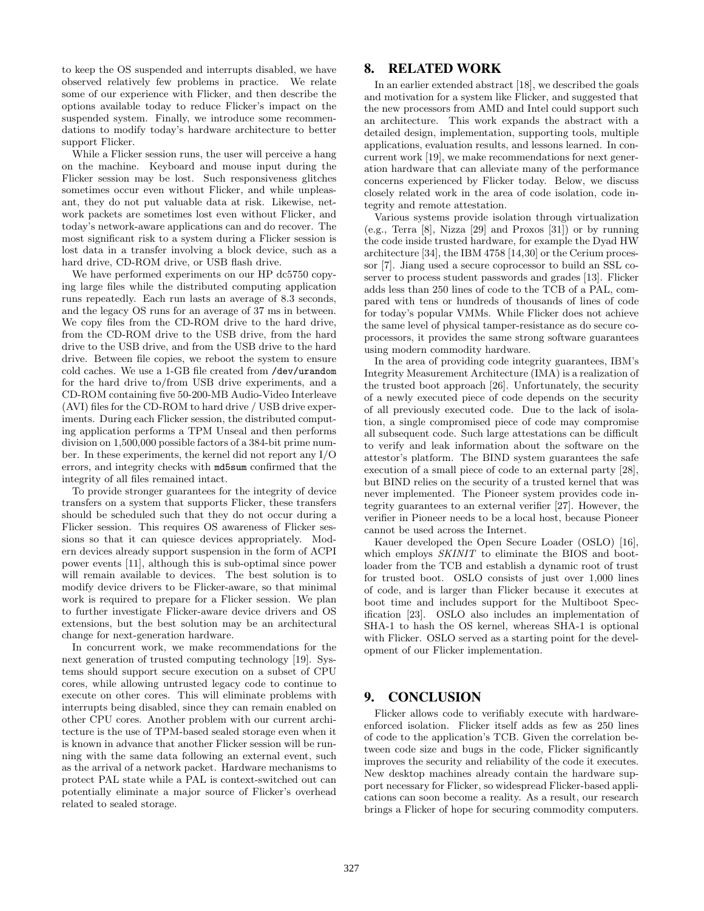to keep the OS suspended and interrupts disabled, we have observed relatively few problems in practice. We relate some of our experience with Flicker, and then describe the options available today to reduce Flicker's impact on the suspended system. Finally, we introduce some recommendations to modify today's hardware architecture to better support Flicker.

While a Flicker session runs, the user will perceive a hang on the machine. Keyboard and mouse input during the Flicker session may be lost. Such responsiveness glitches sometimes occur even without Flicker, and while unpleasant, they do not put valuable data at risk. Likewise, network packets are sometimes lost even without Flicker, and today's network-aware applications can and do recover. The most significant risk to a system during a Flicker session is lost data in a transfer involving a block device, such as a hard drive, CD-ROM drive, or USB flash drive.

We have performed experiments on our HP dc5750 copying large files while the distributed computing application runs repeatedly. Each run lasts an average of 8.3 seconds, and the legacy OS runs for an average of 37 ms in between. We copy files from the CD-ROM drive to the hard drive, from the CD-ROM drive to the USB drive, from the hard drive to the USB drive, and from the USB drive to the hard drive. Between file copies, we reboot the system to ensure cold caches. We use a 1-GB file created from /dev/urandom for the hard drive to/from USB drive experiments, and a CD-ROM containing five 50-200-MB Audio-Video Interleave (AVI) files for the CD-ROM to hard drive / USB drive experiments. During each Flicker session, the distributed computing application performs a TPM Unseal and then performs division on 1,500,000 possible factors of a 384-bit prime number. In these experiments, the kernel did not report any I/O errors, and integrity checks with md5sum confirmed that the integrity of all files remained intact.

To provide stronger guarantees for the integrity of device transfers on a system that supports Flicker, these transfers should be scheduled such that they do not occur during a Flicker session. This requires OS awareness of Flicker sessions so that it can quiesce devices appropriately. Modern devices already support suspension in the form of ACPI power events [11], although this is sub-optimal since power will remain available to devices. The best solution is to modify device drivers to be Flicker-aware, so that minimal work is required to prepare for a Flicker session. We plan to further investigate Flicker-aware device drivers and OS extensions, but the best solution may be an architectural change for next-generation hardware.

In concurrent work, we make recommendations for the next generation of trusted computing technology [19]. Systems should support secure execution on a subset of CPU cores, while allowing untrusted legacy code to continue to execute on other cores. This will eliminate problems with interrupts being disabled, since they can remain enabled on other CPU cores. Another problem with our current architecture is the use of TPM-based sealed storage even when it is known in advance that another Flicker session will be running with the same data following an external event, such as the arrival of a network packet. Hardware mechanisms to protect PAL state while a PAL is context-switched out can potentially eliminate a major source of Flicker's overhead related to sealed storage.

# **8. RELATED WORK**

In an earlier extended abstract [18], we described the goals and motivation for a system like Flicker, and suggested that the new processors from AMD and Intel could support such an architecture. This work expands the abstract with a detailed design, implementation, supporting tools, multiple applications, evaluation results, and lessons learned. In concurrent work [19], we make recommendations for next generation hardware that can alleviate many of the performance concerns experienced by Flicker today. Below, we discuss closely related work in the area of code isolation, code integrity and remote attestation.

Various systems provide isolation through virtualization (e.g., Terra [8], Nizza [29] and Proxos [31]) or by running the code inside trusted hardware, for example the Dyad HW architecture [34], the IBM 4758 [14,30] or the Cerium processor [7]. Jiang used a secure coprocessor to build an SSL coserver to process student passwords and grades [13]. Flicker adds less than 250 lines of code to the TCB of a PAL, compared with tens or hundreds of thousands of lines of code for today's popular VMMs. While Flicker does not achieve the same level of physical tamper-resistance as do secure coprocessors, it provides the same strong software guarantees using modern commodity hardware.

In the area of providing code integrity guarantees, IBM's Integrity Measurement Architecture (IMA) is a realization of the trusted boot approach [26]. Unfortunately, the security of a newly executed piece of code depends on the security of all previously executed code. Due to the lack of isolation, a single compromised piece of code may compromise all subsequent code. Such large attestations can be difficult to verify and leak information about the software on the attestor's platform. The BIND system guarantees the safe execution of a small piece of code to an external party [28], but BIND relies on the security of a trusted kernel that was never implemented. The Pioneer system provides code integrity guarantees to an external verifier [27]. However, the verifier in Pioneer needs to be a local host, because Pioneer cannot be used across the Internet.

Kauer developed the Open Secure Loader (OSLO) [16], which employs SKINIT to eliminate the BIOS and bootloader from the TCB and establish a dynamic root of trust for trusted boot. OSLO consists of just over 1,000 lines of code, and is larger than Flicker because it executes at boot time and includes support for the Multiboot Specification [23]. OSLO also includes an implementation of SHA-1 to hash the OS kernel, whereas SHA-1 is optional with Flicker. OSLO served as a starting point for the development of our Flicker implementation.

# **9. CONCLUSION**

Flicker allows code to verifiably execute with hardwareenforced isolation. Flicker itself adds as few as 250 lines of code to the application's TCB. Given the correlation between code size and bugs in the code, Flicker significantly improves the security and reliability of the code it executes. New desktop machines already contain the hardware support necessary for Flicker, so widespread Flicker-based applications can soon become a reality. As a result, our research brings a Flicker of hope for securing commodity computers.